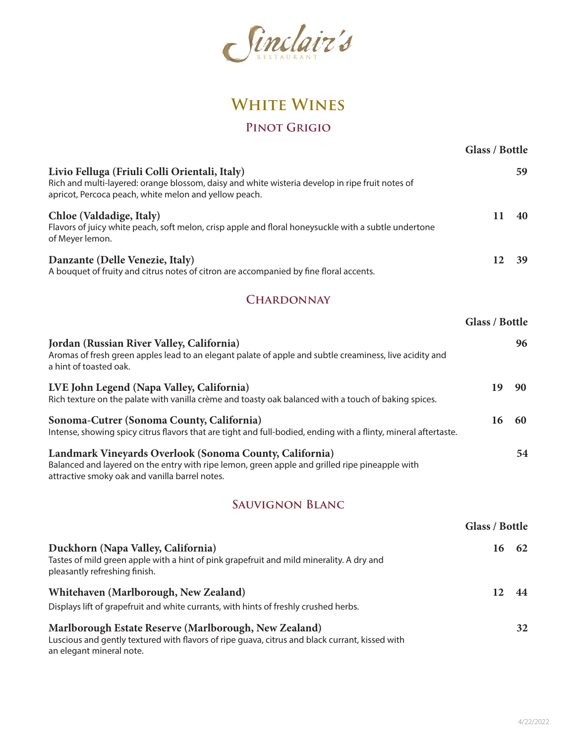

# **White Wines**

### **Pinot Grigio**

| Livio Felluga (Friuli Colli Orientali, Italy)<br>Rich and multi-layered: orange blossom, daisy and white wisteria develop in ripe fruit notes of<br>apricot, Percoca peach, white melon and yellow peach.   |                | 59 |
|-------------------------------------------------------------------------------------------------------------------------------------------------------------------------------------------------------------|----------------|----|
| Chloe (Valdadige, Italy)<br>Flavors of juicy white peach, soft melon, crisp apple and floral honeysuckle with a subtle undertone<br>of Meyer lemon.                                                         | 11             | 40 |
| Danzante (Delle Venezie, Italy)<br>A bouquet of fruity and citrus notes of citron are accompanied by fine floral accents.                                                                                   | 12             | 39 |
| <b>CHARDONNAY</b>                                                                                                                                                                                           |                |    |
|                                                                                                                                                                                                             | Glass / Bottle |    |
| Jordan (Russian River Valley, California)<br>Aromas of fresh green apples lead to an elegant palate of apple and subtle creaminess, live acidity and<br>a hint of toasted oak.                              |                | 96 |
| LVE John Legend (Napa Valley, California)<br>Rich texture on the palate with vanilla crème and toasty oak balanced with a touch of baking spices.                                                           | 19             | 90 |
| Sonoma-Cutrer (Sonoma County, California)<br>Intense, showing spicy citrus flavors that are tight and full-bodied, ending with a flinty, mineral aftertaste.                                                | 16             | 60 |
| Landmark Vineyards Overlook (Sonoma County, California)<br>Balanced and layered on the entry with ripe lemon, green apple and grilled ripe pineapple with<br>attractive smoky oak and vanilla barrel notes. |                | 54 |
| <b>SAUVIGNON BLANC</b>                                                                                                                                                                                      |                |    |
|                                                                                                                                                                                                             | Glass / Bottle |    |
| Duckhorn (Napa Valley, California)<br>Tastes of mild green apple with a hint of pink grapefruit and mild minerality. A dry and<br>pleasantly refreshing finish.                                             | 16             | 62 |
| Whitehaven (Marlborough, New Zealand)                                                                                                                                                                       | 12             | 44 |
| Displays lift of grapefruit and white currants, with hints of freshly crushed herbs.                                                                                                                        |                |    |
| Marlborough Estate Reserve (Marlborough, New Zealand)<br>Luscious and gently textured with flavors of ripe guava, citrus and black currant, kissed with<br>an elegant mineral note.                         |                | 32 |

**Glass / Bottle**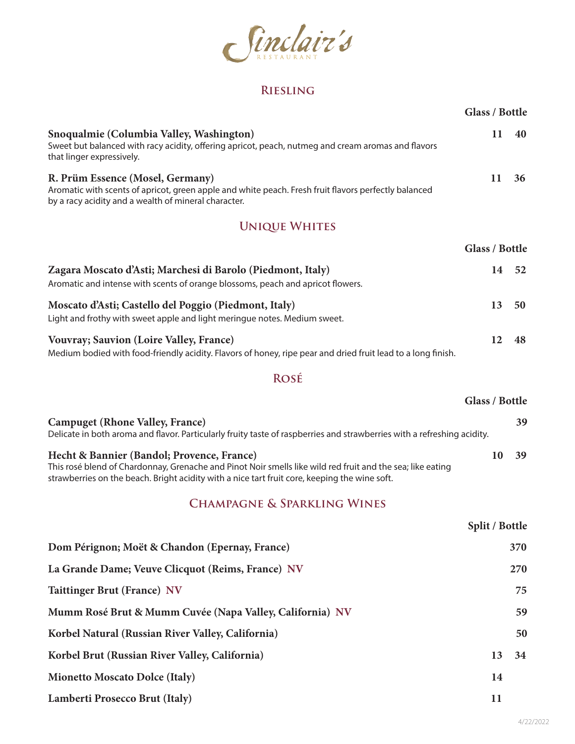

### **Riesling**

|                                                                                                                                                                                                                                                           | Glass / Bottle        |     |
|-----------------------------------------------------------------------------------------------------------------------------------------------------------------------------------------------------------------------------------------------------------|-----------------------|-----|
| Snoqualmie (Columbia Valley, Washington)<br>Sweet but balanced with racy acidity, offering apricot, peach, nutmeg and cream aromas and flavors<br>that linger expressively.                                                                               | 11                    | 40  |
| R. Prüm Essence (Mosel, Germany)<br>Aromatic with scents of apricot, green apple and white peach. Fresh fruit flavors perfectly balanced<br>by a racy acidity and a wealth of mineral character.                                                          | 11                    | 36  |
| <b>UNIQUE WHITES</b>                                                                                                                                                                                                                                      |                       |     |
|                                                                                                                                                                                                                                                           | Glass / Bottle        |     |
| Zagara Moscato d'Asti; Marchesi di Barolo (Piedmont, Italy)<br>Aromatic and intense with scents of orange blossoms, peach and apricot flowers.                                                                                                            | 14                    | 52  |
| Moscato d'Asti; Castello del Poggio (Piedmont, Italy)<br>Light and frothy with sweet apple and light meringue notes. Medium sweet.                                                                                                                        | 13                    | 50  |
| <b>Vouvray; Sauvion (Loire Valley, France)</b><br>Medium bodied with food-friendly acidity. Flavors of honey, ripe pear and dried fruit lead to a long finish.                                                                                            | 12                    | 48  |
| ROSÉ                                                                                                                                                                                                                                                      |                       |     |
|                                                                                                                                                                                                                                                           | <b>Glass / Bottle</b> |     |
| <b>Campuget (Rhone Valley, France)</b><br>Delicate in both aroma and flavor. Particularly fruity taste of raspberries and strawberries with a refreshing acidity.                                                                                         |                       | 39  |
| Hecht & Bannier (Bandol; Provence, France)<br>This rosé blend of Chardonnay, Grenache and Pinot Noir smells like wild red fruit and the sea; like eating<br>strawberries on the beach. Bright acidity with a nice tart fruit core, keeping the wine soft. | 10                    | 39  |
| <b>CHAMPAGNE &amp; SPARKLING WINES</b>                                                                                                                                                                                                                    |                       |     |
|                                                                                                                                                                                                                                                           | Split / Bottle        |     |
| Dom Pérignon; Moët & Chandon (Epernay, France)                                                                                                                                                                                                            |                       | 370 |
| La Grande Dame; Veuve Clicquot (Reims, France) NV                                                                                                                                                                                                         |                       | 270 |
| <b>Taittinger Brut (France) NV</b>                                                                                                                                                                                                                        |                       | 75  |
| Mumm Rosé Brut & Mumm Cuvée (Napa Valley, California) NV                                                                                                                                                                                                  |                       | 59  |
| Korbel Natural (Russian River Valley, California)                                                                                                                                                                                                         |                       | 50  |
| Korbel Brut (Russian River Valley, California)                                                                                                                                                                                                            | 13                    | 34  |
| <b>Mionetto Moscato Dolce (Italy)</b>                                                                                                                                                                                                                     | 14                    |     |
| Lamberti Prosecco Brut (Italy)                                                                                                                                                                                                                            | 11                    |     |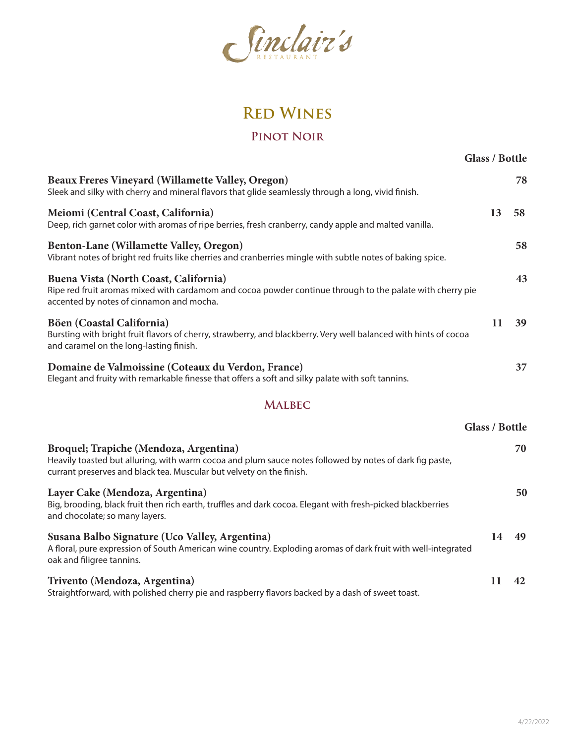

# **Red Wines**

#### **Pinot Noir**

|                                                                                                                                                                                                                           | <b>Glass / Bottle</b> |    |
|---------------------------------------------------------------------------------------------------------------------------------------------------------------------------------------------------------------------------|-----------------------|----|
| <b>Beaux Freres Vineyard (Willamette Valley, Oregon)</b><br>Sleek and silky with cherry and mineral flavors that glide seamlessly through a long, vivid finish.                                                           |                       | 78 |
| Meiomi (Central Coast, California)<br>Deep, rich garnet color with aromas of ripe berries, fresh cranberry, candy apple and malted vanilla.                                                                               | 13                    | 58 |
| Benton-Lane (Willamette Valley, Oregon)<br>Vibrant notes of bright red fruits like cherries and cranberries mingle with subtle notes of baking spice.                                                                     |                       | 58 |
| Buena Vista (North Coast, California)<br>Ripe red fruit aromas mixed with cardamom and cocoa powder continue through to the palate with cherry pie<br>accented by notes of cinnamon and mocha.                            |                       | 43 |
| Böen (Coastal California)<br>Bursting with bright fruit flavors of cherry, strawberry, and blackberry. Very well balanced with hints of cocoa<br>and caramel on the long-lasting finish.                                  | 11                    | 39 |
| Domaine de Valmoissine (Coteaux du Verdon, France)<br>Elegant and fruity with remarkable finesse that offers a soft and silky palate with soft tannins.                                                                   |                       | 37 |
| <b>MALBEC</b>                                                                                                                                                                                                             |                       |    |
|                                                                                                                                                                                                                           | <b>Glass / Bottle</b> |    |
| Broquel; Trapiche (Mendoza, Argentina)<br>Heavily toasted but alluring, with warm cocoa and plum sauce notes followed by notes of dark fig paste,<br>currant preserves and black tea. Muscular but velvety on the finish. |                       | 70 |
| Layer Cake (Mendoza, Argentina)<br>Big, brooding, black fruit then rich earth, truffles and dark cocoa. Elegant with fresh-picked blackberries<br>and chocolate; so many layers.                                          |                       | 50 |
| Susana Balbo Signature (Uco Valley, Argentina)<br>A floral, pure expression of South American wine country. Exploding aromas of dark fruit with well-integrated<br>oak and filigree tannins.                              | 14                    | 49 |
| Trivento (Mendoza, Argentina)<br>Straightforward, with polished cherry pie and raspberry flavors backed by a dash of sweet toast.                                                                                         | 11                    | 42 |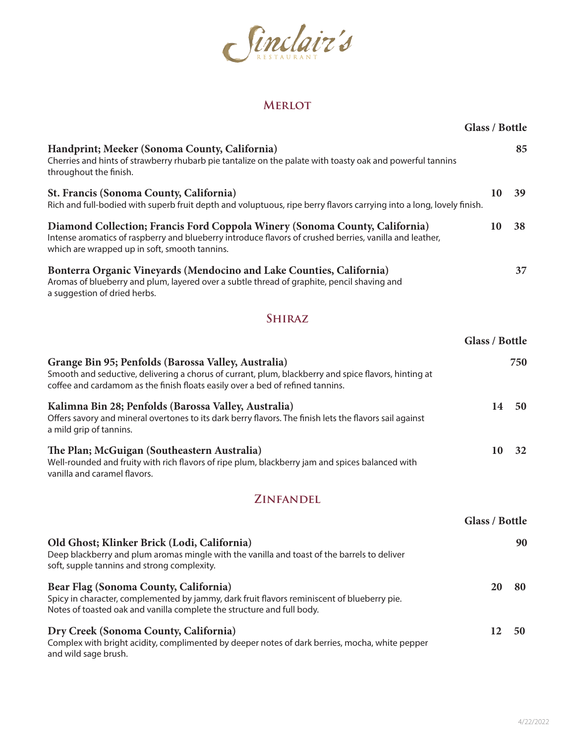

#### **Merlot**

|                                                                                                                                                                                                                                               | Glass / Bottle        |     |
|-----------------------------------------------------------------------------------------------------------------------------------------------------------------------------------------------------------------------------------------------|-----------------------|-----|
| Handprint; Meeker (Sonoma County, California)<br>Cherries and hints of strawberry rhubarb pie tantalize on the palate with toasty oak and powerful tannins<br>throughout the finish.                                                          |                       | 85  |
| <b>St. Francis (Sonoma County, California)</b><br>Rich and full-bodied with superb fruit depth and voluptuous, ripe berry flavors carrying into a long, lovely finish.                                                                        | 10                    | 39  |
| Diamond Collection; Francis Ford Coppola Winery (Sonoma County, California)<br>Intense aromatics of raspberry and blueberry introduce flavors of crushed berries, vanilla and leather,<br>which are wrapped up in soft, smooth tannins.       | 10                    | 38  |
| Bonterra Organic Vineyards (Mendocino and Lake Counties, California)<br>Aromas of blueberry and plum, layered over a subtle thread of graphite, pencil shaving and<br>a suggestion of dried herbs.                                            |                       | 37  |
| <b>SHIRAZ</b>                                                                                                                                                                                                                                 |                       |     |
|                                                                                                                                                                                                                                               | Glass / Bottle        |     |
| Grange Bin 95; Penfolds (Barossa Valley, Australia)<br>Smooth and seductive, delivering a chorus of currant, plum, blackberry and spice flavors, hinting at<br>coffee and cardamom as the finish floats easily over a bed of refined tannins. |                       | 750 |
| Kalimna Bin 28; Penfolds (Barossa Valley, Australia)<br>Offers savory and mineral overtones to its dark berry flavors. The finish lets the flavors sail against<br>a mild grip of tannins.                                                    | 14                    | 50  |
| The Plan; McGuigan (Southeastern Australia)<br>Well-rounded and fruity with rich flavors of ripe plum, blackberry jam and spices balanced with<br>vanilla and caramel flavors.                                                                | 10                    | 32  |
| <b>ZINFANDEL</b>                                                                                                                                                                                                                              |                       |     |
|                                                                                                                                                                                                                                               | <b>Glass / Bottle</b> |     |
| Old Ghost; Klinker Brick (Lodi, California)<br>Deep blackberry and plum aromas mingle with the vanilla and toast of the barrels to deliver<br>soft, supple tannins and strong complexity.                                                     |                       | 90  |
| <b>Bear Flag (Sonoma County, California)</b><br>Spicy in character, complemented by jammy, dark fruit flavors reminiscent of blueberry pie.<br>Notes of toasted oak and vanilla complete the structure and full body.                         | 20                    | 80  |
| Dry Creek (Sonoma County, California)<br>Complex with bright acidity, complimented by deeper notes of dark berries, mocha, white pepper<br>and wild sage brush.                                                                               | 12                    | 50  |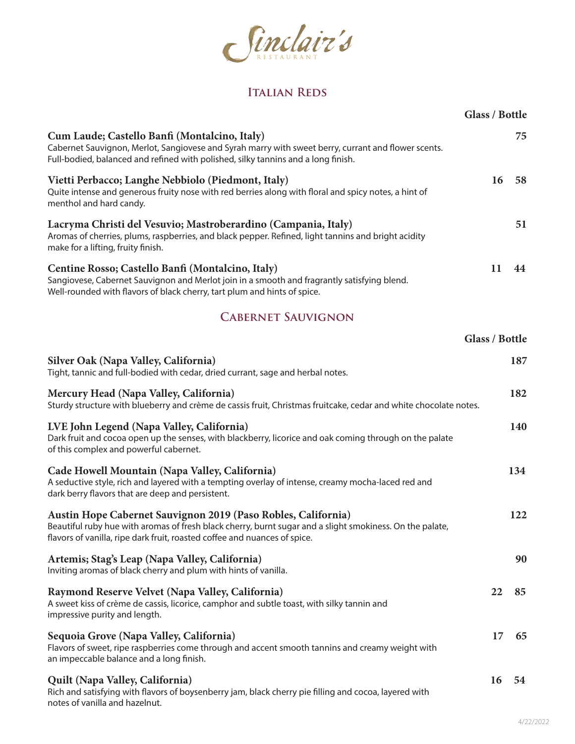

#### **Italian Reds**

|                                                                                                                                                                                                                                                        | Glass / Bottle |     |
|--------------------------------------------------------------------------------------------------------------------------------------------------------------------------------------------------------------------------------------------------------|----------------|-----|
| Cum Laude; Castello Banfi (Montalcino, Italy)<br>Cabernet Sauvignon, Merlot, Sangiovese and Syrah marry with sweet berry, currant and flower scents.<br>Full-bodied, balanced and refined with polished, silky tannins and a long finish.              |                | 75  |
| Vietti Perbacco; Langhe Nebbiolo (Piedmont, Italy)<br>Quite intense and generous fruity nose with red berries along with floral and spicy notes, a hint of<br>menthol and hard candy.                                                                  | 16             | 58  |
| Lacryma Christi del Vesuvio; Mastroberardino (Campania, Italy)<br>Aromas of cherries, plums, raspberries, and black pepper. Refined, light tannins and bright acidity<br>make for a lifting, fruity finish.                                            |                | 51  |
| Centine Rosso; Castello Banfi (Montalcino, Italy)<br>Sangiovese, Cabernet Sauvignon and Merlot join in a smooth and fragrantly satisfying blend.<br>Well-rounded with flavors of black cherry, tart plum and hints of spice.                           | 11             | 44  |
| <b>CABERNET SAUVIGNON</b>                                                                                                                                                                                                                              |                |     |
|                                                                                                                                                                                                                                                        | Glass / Bottle |     |
| Silver Oak (Napa Valley, California)<br>Tight, tannic and full-bodied with cedar, dried currant, sage and herbal notes.                                                                                                                                |                | 187 |
| Mercury Head (Napa Valley, California)<br>Sturdy structure with blueberry and crème de cassis fruit, Christmas fruitcake, cedar and white chocolate notes.                                                                                             |                | 182 |
| LVE John Legend (Napa Valley, California)<br>Dark fruit and cocoa open up the senses, with blackberry, licorice and oak coming through on the palate<br>of this complex and powerful cabernet.                                                         |                | 140 |
| Cade Howell Mountain (Napa Valley, California)<br>A seductive style, rich and layered with a tempting overlay of intense, creamy mocha-laced red and<br>dark berry flavors that are deep and persistent.                                               |                | 134 |
| Austin Hope Cabernet Sauvignon 2019 (Paso Robles, California)<br>Beautiful ruby hue with aromas of fresh black cherry, burnt sugar and a slight smokiness. On the palate,<br>flavors of vanilla, ripe dark fruit, roasted coffee and nuances of spice. |                | 122 |
| Artemis; Stag's Leap (Napa Valley, California)<br>Inviting aromas of black cherry and plum with hints of vanilla.                                                                                                                                      |                | 90  |
| Raymond Reserve Velvet (Napa Valley, California)<br>A sweet kiss of crème de cassis, licorice, camphor and subtle toast, with silky tannin and<br>impressive purity and length.                                                                        | 22             | 85  |
| Sequoia Grove (Napa Valley, California)<br>Flavors of sweet, ripe raspberries come through and accent smooth tannins and creamy weight with<br>an impeccable balance and a long finish.                                                                | 17             | 65  |
| Quilt (Napa Valley, California)<br>Rich and satisfying with flavors of boysenberry jam, black cherry pie filling and cocoa, layered with<br>notes of vanilla and hazelnut.                                                                             | 16             | 54  |